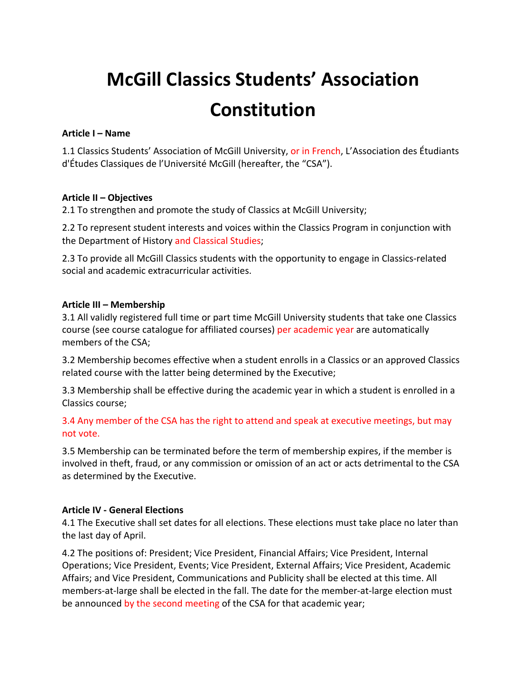# **McGill Classics Students' Association Constitution**

# **Article I – Name**

1.1 Classics Students' Association of McGill University, or in French, L'Association des Étudiants d'Études Classiques de l'Université McGill (hereafter, the "CSA").

# **Article II – Objectives**

2.1 To strengthen and promote the study of Classics at McGill University;

2.2 To represent student interests and voices within the Classics Program in conjunction with the Department of History and Classical Studies;

2.3 To provide all McGill Classics students with the opportunity to engage in Classics-related social and academic extracurricular activities.

# **Article III – Membership**

3.1 All validly registered full time or part time McGill University students that take one Classics course (see course catalogue for affiliated courses) per academic year are automatically members of the CSA:

3.2 Membership becomes effective when a student enrolls in a Classics or an approved Classics related course with the latter being determined by the Executive;

3.3 Membership shall be effective during the academic year in which a student is enrolled in a Classics course:

3.4 Any member of the CSA has the right to attend and speak at executive meetings, but may not vote.

3.5 Membership can be terminated before the term of membership expires, if the member is involved in theft, fraud, or any commission or omission of an act or acts detrimental to the CSA as determined by the Executive.

# **Article IV - General Elections**

4.1 The Executive shall set dates for all elections. These elections must take place no later than the last day of April.

4.2 The positions of: President; Vice President, Financial Affairs; Vice President, Internal Operations; Vice President, Events; Vice President, External Affairs; Vice President, Academic Affairs; and Vice President, Communications and Publicity shall be elected at this time. All members-at-large shall be elected in the fall. The date for the member-at-large election must be announced by the second meeting of the CSA for that academic year;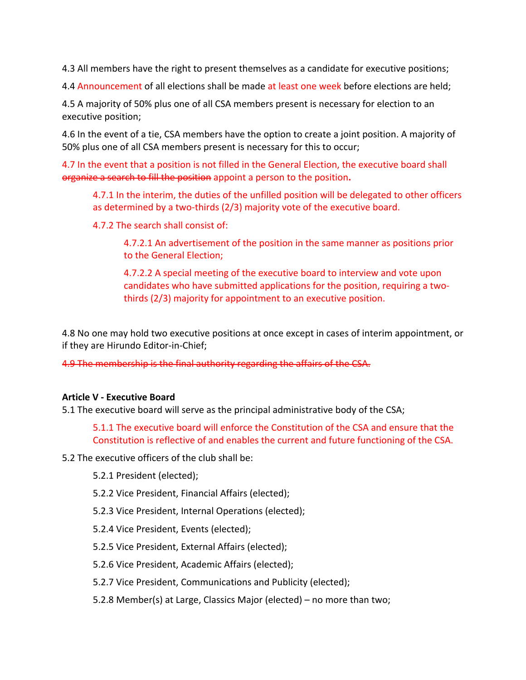4.3 All members have the right to present themselves as a candidate for executive positions;

4.4 Announcement of all elections shall be made at least one week before elections are held:

4.5 A majority of 50% plus one of all CSA members present is necessary for election to an executive position;

4.6 In the event of a tie, CSA members have the option to create a joint position. A majority of 50% plus one of all CSA members present is necessary for this to occur;

4.7 In the event that a position is not filled in the General Election, the executive board shall organize a search to fill the position appoint a person to the position.

4.7.1 In the interim, the duties of the unfilled position will be delegated to other officers as determined by a two-thirds  $(2/3)$  majority vote of the executive board.

4.7.2 The search shall consist of:

4.7.2.1 An advertisement of the position in the same manner as positions prior to the General Election;

4.7.2.2 A special meeting of the executive board to interview and vote upon candidates who have submitted applications for the position, requiring a twothirds (2/3) majority for appointment to an executive position.

4.8 No one may hold two executive positions at once except in cases of interim appointment, or if they are Hirundo Editor-in-Chief;

4.9 The membership is the final authority regarding the affairs of the CSA.

#### **Article V - Executive Board**

5.1 The executive board will serve as the principal administrative body of the CSA;

5.1.1 The executive board will enforce the Constitution of the CSA and ensure that the Constitution is reflective of and enables the current and future functioning of the CSA.

5.2 The executive officers of the club shall be:

- 5.2.1 President (elected);
- 5.2.2 Vice President, Financial Affairs (elected);
- 5.2.3 Vice President, Internal Operations (elected);
- 5.2.4 Vice President, Events (elected);
- 5.2.5 Vice President, External Affairs (elected);
- 5.2.6 Vice President, Academic Affairs (elected);
- 5.2.7 Vice President, Communications and Publicity (elected);
- 5.2.8 Member(s) at Large, Classics Major (elected) no more than two;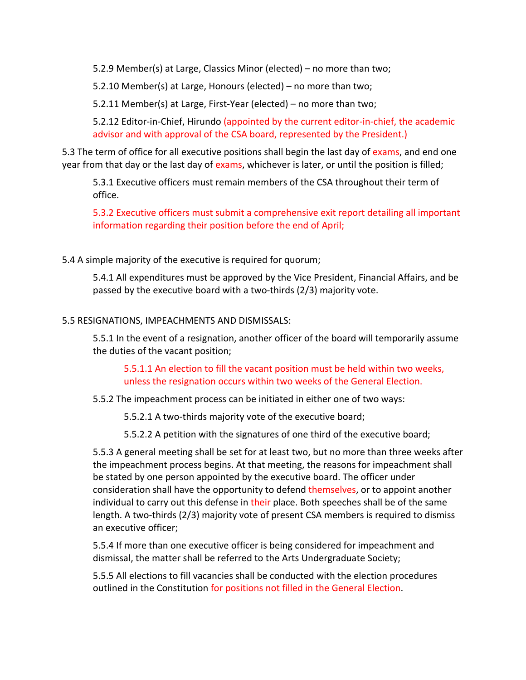5.2.9 Member(s) at Large, Classics Minor (elected) – no more than two;

5.2.10 Member(s) at Large, Honours (elected) – no more than two;

5.2.11 Member(s) at Large, First-Year (elected) – no more than two;

5.2.12 Editor-in-Chief, Hirundo (appointed by the current editor-in-chief, the academic advisor and with approval of the CSA board, represented by the President.)

5.3 The term of office for all executive positions shall begin the last day of exams, and end one year from that day or the last day of exams, whichever is later, or until the position is filled;

5.3.1 Executive officers must remain members of the CSA throughout their term of office. 

5.3.2 Executive officers must submit a comprehensive exit report detailing all important information regarding their position before the end of April;

5.4 A simple majority of the executive is required for quorum;

5.4.1 All expenditures must be approved by the Vice President, Financial Affairs, and be passed by the executive board with a two-thirds  $(2/3)$  majority vote.

# 5.5 RESIGNATIONS, IMPEACHMENTS AND DISMISSALS:

5.5.1 In the event of a resignation, another officer of the board will temporarily assume the duties of the vacant position;

5.5.1.1 An election to fill the vacant position must be held within two weeks, unless the resignation occurs within two weeks of the General Election.

5.5.2 The impeachment process can be initiated in either one of two ways:

5.5.2.1 A two-thirds majority vote of the executive board;

5.5.2.2 A petition with the signatures of one third of the executive board;

5.5.3 A general meeting shall be set for at least two, but no more than three weeks after the impeachment process begins. At that meeting, the reasons for impeachment shall be stated by one person appointed by the executive board. The officer under consideration shall have the opportunity to defend themselves, or to appoint another individual to carry out this defense in their place. Both speeches shall be of the same length. A two-thirds  $(2/3)$  majority vote of present CSA members is required to dismiss an executive officer;

5.5.4 If more than one executive officer is being considered for impeachment and dismissal, the matter shall be referred to the Arts Undergraduate Society;

5.5.5 All elections to fill vacancies shall be conducted with the election procedures outlined in the Constitution for positions not filled in the General Election.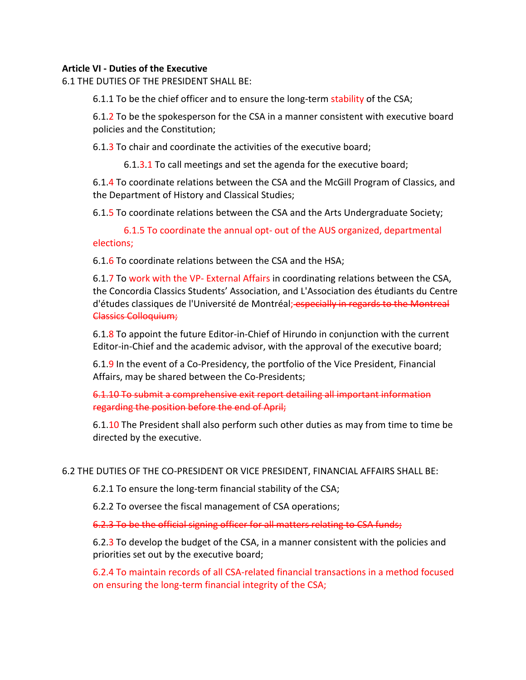# **Article VI - Duties of the Executive**

6.1 THE DUTIES OF THE PRESIDENT SHALL BE:

6.1.1 To be the chief officer and to ensure the long-term stability of the CSA;

6.1.2 To be the spokesperson for the CSA in a manner consistent with executive board policies and the Constitution;

6.1.3 To chair and coordinate the activities of the executive board;

6.1.3.1 To call meetings and set the agenda for the executive board;

6.1.4 To coordinate relations between the CSA and the McGill Program of Classics, and the Department of History and Classical Studies;

6.1.5 To coordinate relations between the CSA and the Arts Undergraduate Society;

6.1.5 To coordinate the annual opt- out of the AUS organized, departmental elections;

6.1.6 To coordinate relations between the CSA and the HSA;

6.1.7 To work with the VP- External Affairs in coordinating relations between the CSA, the Concordia Classics Students' Association, and L'Association des étudiants du Centre d'études classiques de l'Université de Montréal; especially in regards to the Montreal Classics Colloquium;

6.1.8 To appoint the future Editor-in-Chief of Hirundo in conjunction with the current Editor-in-Chief and the academic advisor, with the approval of the executive board;

6.1.9 In the event of a Co-Presidency, the portfolio of the Vice President, Financial Affairs, may be shared between the Co-Presidents;

6.1.10 To submit a comprehensive exit report detailing all important information regarding the position before the end of April;

6.1.10 The President shall also perform such other duties as may from time to time be directed by the executive.

# 6.2 THE DUTIES OF THE CO-PRESIDENT OR VICE PRESIDENT, FINANCIAL AFFAIRS SHALL BE:

6.2.1 To ensure the long-term financial stability of the CSA;

6.2.2 To oversee the fiscal management of CSA operations;

6.2.3 To be the official signing officer for all matters relating to CSA funds;

6.2.3 To develop the budget of the CSA, in a manner consistent with the policies and priorities set out by the executive board;

6.2.4 To maintain records of all CSA-related financial transactions in a method focused on ensuring the long-term financial integrity of the CSA;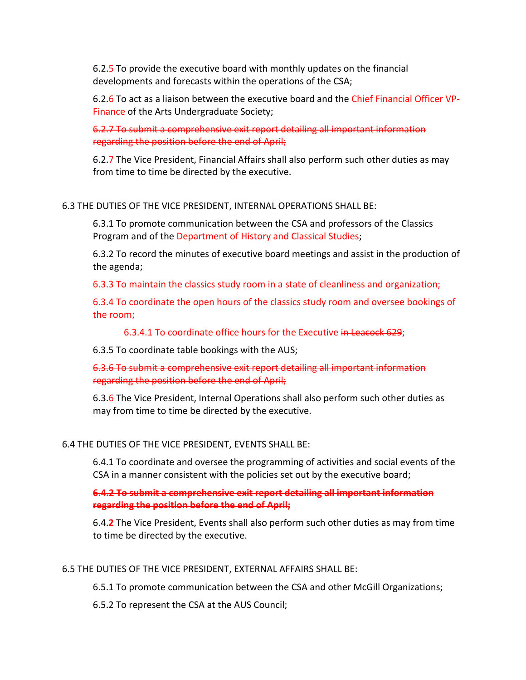6.2.5 To provide the executive board with monthly updates on the financial developments and forecasts within the operations of the CSA;

6.2.6 To act as a liaison between the executive board and the Chief Financial Officer VP-Finance of the Arts Undergraduate Society;

6.2.7 To submit a comprehensive exit report detailing all important information regarding the position before the end of April;

6.2.7 The Vice President, Financial Affairs shall also perform such other duties as may from time to time be directed by the executive.

6.3 THE DUTIES OF THE VICE PRESIDENT, INTERNAL OPERATIONS SHALL BE:

6.3.1 To promote communication between the CSA and professors of the Classics Program and of the Department of History and Classical Studies;

6.3.2 To record the minutes of executive board meetings and assist in the production of the agenda;

6.3.3 To maintain the classics study room in a state of cleanliness and organization;

6.3.4 To coordinate the open hours of the classics study room and oversee bookings of the room:

6.3.4.1 To coordinate office hours for the Executive in Leacock 629;

6.3.5 To coordinate table bookings with the AUS;

6.3.6 To submit a comprehensive exit report detailing all important information regarding the position before the end of April;

6.3.6 The Vice President, Internal Operations shall also perform such other duties as may from time to time be directed by the executive.

# 6.4 THE DUTIES OF THE VICE PRESIDENT, EVENTS SHALL BE:

6.4.1 To coordinate and oversee the programming of activities and social events of the CSA in a manner consistent with the policies set out by the executive board;

**6.4.2 To submit a comprehensive exit report detailing all important information regarding the position before the end of April;** 

6.4.2 The Vice President, Events shall also perform such other duties as may from time to time be directed by the executive.

#### 6.5 THE DUTIES OF THE VICE PRESIDENT, EXTERNAL AFFAIRS SHALL BE:

6.5.1 To promote communication between the CSA and other McGill Organizations;

6.5.2 To represent the CSA at the AUS Council;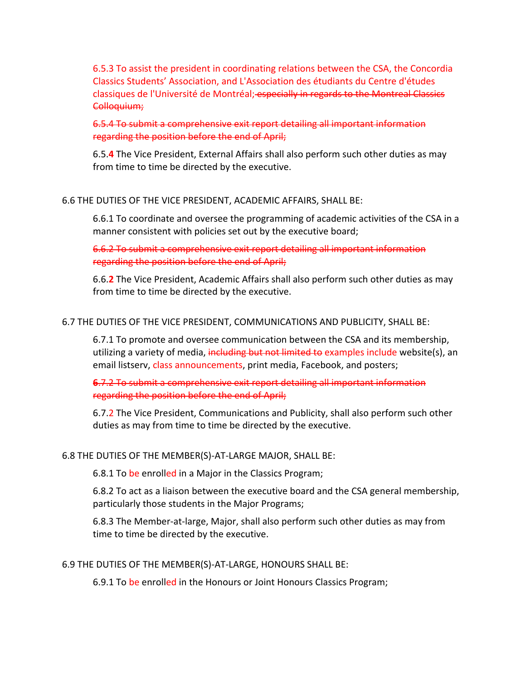6.5.3 To assist the president in coordinating relations between the CSA, the Concordia Classics Students' Association, and L'Association des étudiants du Centre d'études classiques de l'Université de Montréal; especially in regards to the Montreal Classics Colloquium;

6.5.4 To submit a comprehensive exit report detailing all important information regarding the position before the end of April;

6.5.4 The Vice President, External Affairs shall also perform such other duties as may from time to time be directed by the executive.

#### 6.6 THE DUTIES OF THE VICE PRESIDENT, ACADEMIC AFFAIRS, SHALL BE:

6.6.1 To coordinate and oversee the programming of academic activities of the CSA in a manner consistent with policies set out by the executive board;

6.6.2 To submit a comprehensive exit report detailing all important information regarding the position before the end of April;

6.6.2 The Vice President, Academic Affairs shall also perform such other duties as may from time to time be directed by the executive.

#### 6.7 THE DUTIES OF THE VICE PRESIDENT, COMMUNICATIONS AND PUBLICITY, SHALL BE:

6.7.1 To promote and oversee communication between the CSA and its membership, utilizing a variety of media, including but not limited to examples include website(s), an email listsery, class announcements, print media, Facebook, and posters;

**6.7.2** To submit a comprehensive exit report detailing all important information regarding the position before the end of April;

6.7.2 The Vice President, Communications and Publicity, shall also perform such other duties as may from time to time be directed by the executive.

#### 6.8 THE DUTIES OF THE MEMBER(S)-AT-LARGE MAJOR, SHALL BE:

6.8.1 To be enrolled in a Major in the Classics Program;

6.8.2 To act as a liaison between the executive board and the CSA general membership, particularly those students in the Major Programs;

6.8.3 The Member-at-large, Major, shall also perform such other duties as may from time to time be directed by the executive.

#### 6.9 THE DUTIES OF THE MEMBER(S)-AT-LARGE, HONOURS SHALL BE:

6.9.1 To be enrolled in the Honours or Joint Honours Classics Program;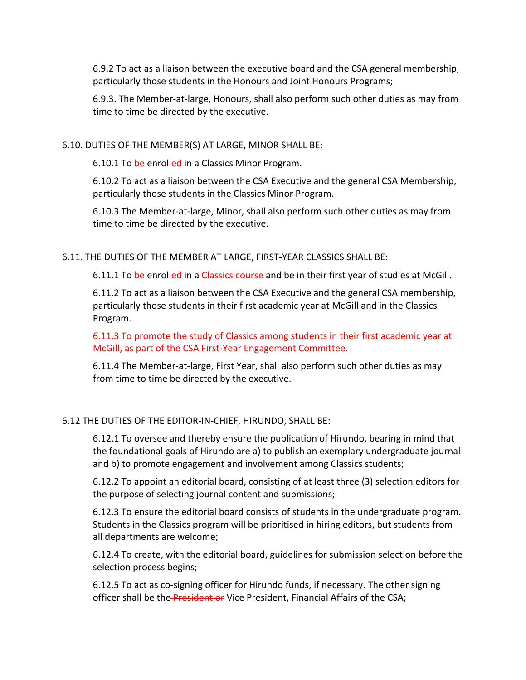6.9.2 To act as a liaison between the executive board and the CSA general membership, particularly those students in the Honours and Joint Honours Programs;

6.9.3. The Member-at-large, Honours, shall also perform such other duties as may from time to time be directed by the executive.

#### 6.10. DUTIES OF THE MEMBER(S) AT LARGE, MINOR SHALL BE:

6.10.1 To be enrolled in a Classics Minor Program.

6.10.2 To act as a liaison between the CSA Executive and the general CSA Membership, particularly those students in the Classics Minor Program.

6.10.3 The Member-at-large, Minor, shall also perform such other duties as may from time to time be directed by the executive.

#### 6.11. THE DUTIES OF THE MEMBER AT LARGE, FIRST-YEAR CLASSICS SHALL BE:

6.11.1 To be enrolled in a Classics course and be in their first year of studies at McGill.

6.11.2 To act as a liaison between the CSA Executive and the general CSA membership, particularly those students in their first academic year at McGill and in the Classics Program. 

6.11.3 To promote the study of Classics among students in their first academic year at McGill, as part of the CSA First-Year Engagement Committee.

6.11.4 The Member-at-large, First Year, shall also perform such other duties as may from time to time be directed by the executive.

#### 6.12 THE DUTIES OF THE EDITOR-IN-CHIEF, HIRUNDO, SHALL BE:

6.12.1 To oversee and thereby ensure the publication of Hirundo, bearing in mind that the foundational goals of Hirundo are a) to publish an exemplary undergraduate journal and b) to promote engagement and involvement among Classics students;

6.12.2 To appoint an editorial board, consisting of at least three (3) selection editors for the purpose of selecting journal content and submissions;

6.12.3 To ensure the editorial board consists of students in the undergraduate program. Students in the Classics program will be prioritised in hiring editors, but students from all departments are welcome;

6.12.4 To create, with the editorial board, guidelines for submission selection before the selection process begins;

6.12.5 To act as co-signing officer for Hirundo funds, if necessary. The other signing officer shall be the President or Vice President, Financial Affairs of the CSA;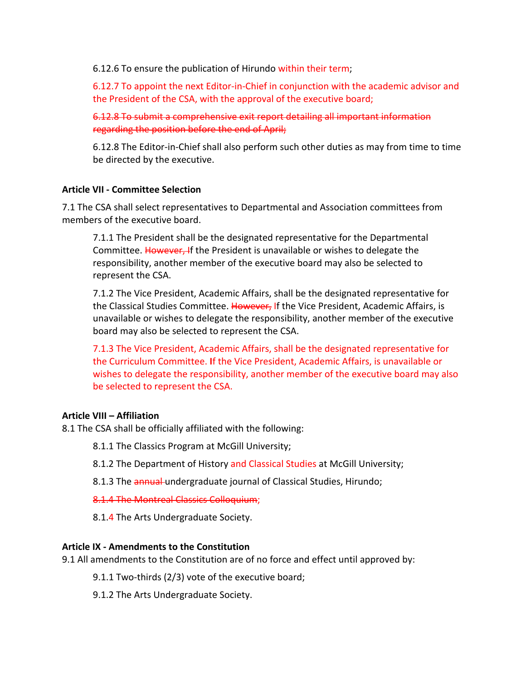6.12.6 To ensure the publication of Hirundo within their term;

6.12.7 To appoint the next Editor-in-Chief in conjunction with the academic advisor and the President of the CSA, with the approval of the executive board;

6.12.8 To submit a comprehensive exit report detailing all important information regarding the position before the end of April;

6.12.8 The Editor-in-Chief shall also perform such other duties as may from time to time be directed by the executive.

# **Article VII - Committee Selection**

7.1 The CSA shall select representatives to Departmental and Association committees from members of the executive board.

7.1.1 The President shall be the designated representative for the Departmental Committee. However, If the President is unavailable or wishes to delegate the responsibility, another member of the executive board may also be selected to represent the CSA.

7.1.2 The Vice President, Academic Affairs, shall be the designated representative for the Classical Studies Committee. However, If the Vice President, Academic Affairs, is unavailable or wishes to delegate the responsibility, another member of the executive board may also be selected to represent the CSA.

7.1.3 The Vice President, Academic Affairs, shall be the designated representative for the Curriculum Committee. If the Vice President, Academic Affairs, is unavailable or wishes to delegate the responsibility, another member of the executive board may also be selected to represent the CSA.

# **Article VIII – Affiliation**

8.1 The CSA shall be officially affiliated with the following:

- 8.1.1 The Classics Program at McGill University;
- 8.1.2 The Department of History and Classical Studies at McGill University;
- 8.1.3 The annual undergraduate journal of Classical Studies, Hirundo;

8.1.4 The Montreal Classics Colloquium;

8.1.4 The Arts Undergraduate Society.

# **Article IX - Amendments to the Constitution**

9.1 All amendments to the Constitution are of no force and effect until approved by:

 $9.1.1$  Two-thirds (2/3) vote of the executive board;

9.1.2 The Arts Undergraduate Society.